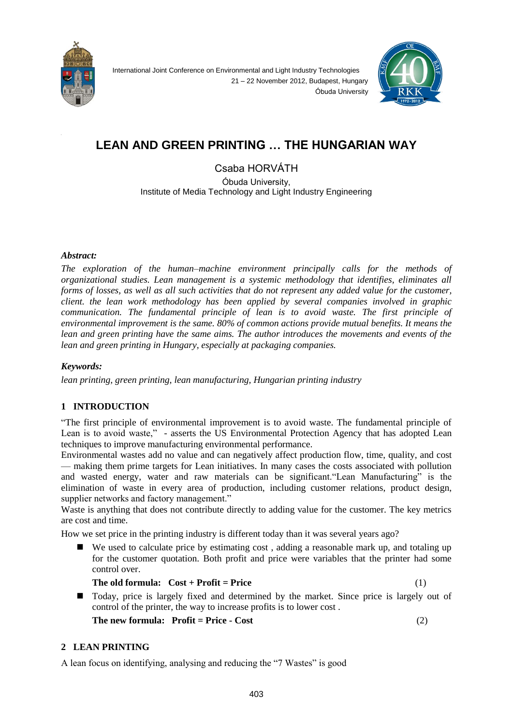



# **LEAN AND GREEN PRINTING … THE HUNGARIAN WAY**

Csaba HORVÁTH Óbuda University, Institute of Media Technology and Light Industry Engineering

## *Abstract:*

*The exploration of the human–machine environment principally calls for the methods of organizational studies. Lean management is a systemic methodology that identifies, eliminates all forms of losses, as well as all such activities that do not represent any added value for the customer, client. the lean work methodology has been applied by several companies involved in graphic communication. The fundamental principle of lean is to avoid waste. The first principle of environmental improvement is the same. 80% of common actions provide mutual benefits. It means the lean and green printing have the same aims. The author introduces the movements and events of the lean and green printing in Hungary, especially at packaging companies.* 

## *Keywords:*

*lean printing, green printing, lean manufacturing, Hungarian printing industry*

## **1 INTRODUCTION**

"The first principle of environmental improvement is to avoid waste. The fundamental principle of Lean is to avoid waste," - asserts the US Environmental Protection Agency that has adopted Lean techniques to improve manufacturing environmental performance.

Environmental wastes add no value and can negatively affect production flow, time, quality, and cost — making them prime targets for Lean initiatives. In many cases the costs associated with pollution and wasted energy, water and raw materials can be significant."Lean Manufacturing" is the elimination of waste in every area of production, including customer relations, product design, supplier networks and factory management."

Waste is anything that does not contribute directly to adding value for the customer. The key metrics are cost and time.

How we set price in the printing industry is different today than it was several years ago?

 We used to calculate price by estimating cost , adding a reasonable mark up, and totaling up for the customer quotation. Both profit and price were variables that the printer had some control over.

 **The old formula: Cost + Profit = Price** (1)

 Today, price is largely fixed and determined by the market. Since price is largely out of control of the printer, the way to increase profits is to lower cost .

**The new formula: Profit = Price - Cost** (2)

## **2 LEAN PRINTING**

A lean focus on identifying, analysing and reducing the "7 Wastes" is good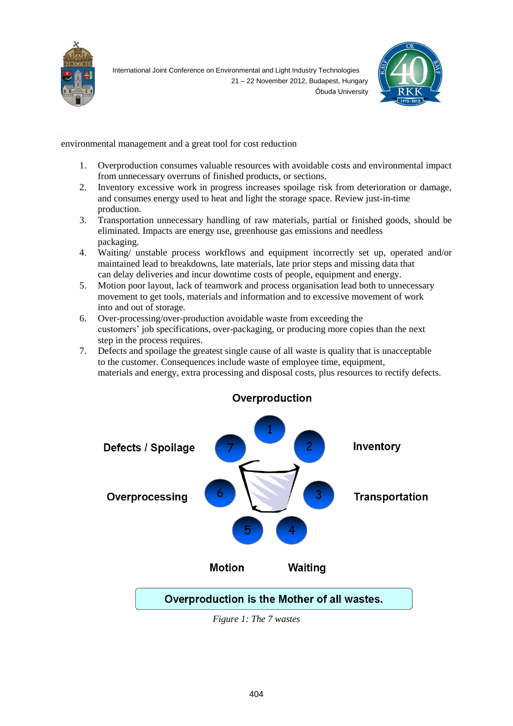



environmental management and a great tool for cost reduction

- 1. Overproduction consumes valuable resources with avoidable costs and environmental impact from unnecessary overruns of finished products, or sections.
- 2. Inventory excessive work in progress increases spoilage risk from deterioration or damage, and consumes energy used to heat and light the storage space. Review just-in-time production.
- 3. Transportation unnecessary handling of raw materials, partial or finished goods, should be eliminated. Impacts are energy use, greenhouse gas emissions and needless packaging.
- 4. Waiting/ unstable process workflows and equipment incorrectly set up, operated and/or maintained lead to breakdowns, late materials, late prior steps and missing data that can delay deliveries and incur downtime costs of people, equipment and energy.
- 5. Motion poor layout, lack of teamwork and process organisation lead both to unnecessary movement to get tools, materials and information and to excessive movement of work into and out of storage.
- 6. Over-processing/over-production avoidable waste from exceeding the customers' job specifications, over-packaging, or producing more copies than the next step in the process requires.
- 7. Defects and spoilage the greatest single cause of all waste is quality that is unacceptable to the customer. Consequences include waste of employee time, equipment, materials and energy, extra processing and disposal costs, plus resources to rectify defects.



## Overproduction

*Figure 1: The 7 wastes*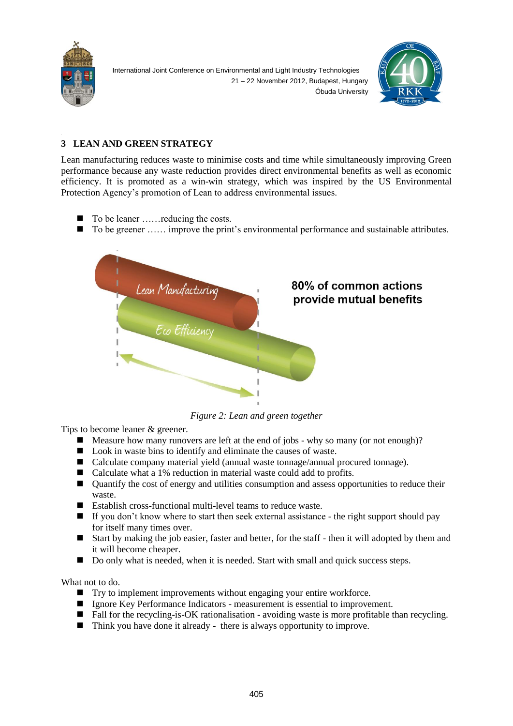



## **3 LEAN AND GREEN STRATEGY**

Lean manufacturing reduces waste to minimise costs and time while simultaneously improving Green performance because any waste reduction provides direct environmental benefits as well as economic efficiency. It is promoted as a win-win strategy, which was inspired by the US Environmental Protection Agency's promotion of Lean to address environmental issues.

- To be leaner ……reducing the costs.
- To be greener …… improve the print's environmental performance and sustainable attributes.



*Figure 2: Lean and green together*

Tips to become leaner & greener.

- $\blacksquare$  Measure how many runovers are left at the end of jobs why so many (or not enough)?
- Look in waste bins to identify and eliminate the causes of waste.
- Calculate company material yield (annual waste tonnage/annual procured tonnage).
- Calculate what a 1% reduction in material waste could add to profits.
- Quantify the cost of energy and utilities consumption and assess opportunities to reduce their waste.
- $\blacksquare$  Establish cross-functional multi-level teams to reduce waste.
- $\blacksquare$  If you don't know where to start then seek external assistance the right support should pay for itself many times over.
- Start by making the job easier, faster and better, for the staff then it will adopted by them and it will become cheaper.
- Do only what is needed, when it is needed. Start with small and quick success steps.

What not to do.

- Try to implement improvements without engaging your entire workforce.
- Ignore Key Performance Indicators measurement is essential to improvement.
- Fall for the recycling-is-OK rationalisation avoiding waste is more profitable than recycling.
- Think you have done it already there is always opportunity to improve.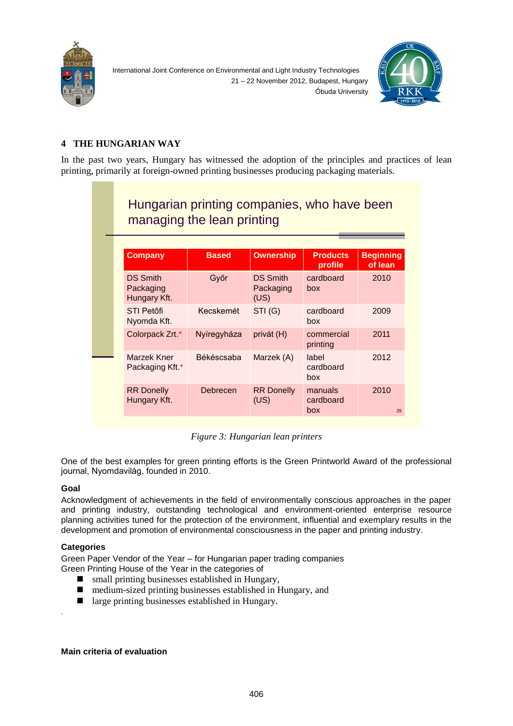



## **4 THE HUNGARIAN WAY**

In the past two years, Hungary has witnessed the adoption of the principles and practices of lean printing, primarily at foreign-owned printing businesses producing packaging materials.

| Hungarian printing companies, who have been<br>managing the lean printing |             |                                      |                             |            |
|---------------------------------------------------------------------------|-------------|--------------------------------------|-----------------------------|------------|
|                                                                           |             |                                      |                             |            |
| <b>DS Smith</b><br>Packaging<br>Hungary Kft.                              | Győr        | <b>DS Smith</b><br>Packaging<br>(US) | cardboard<br>box            | 2010       |
| STI Petőfi<br>Nyomda Kft.                                                 | Kecskemét   | STI(G)                               | cardboard<br>box            | 2009       |
| Colorpack Zrt.*                                                           | Nyíregyháza | privát (H)                           | commercial<br>printing      | 2011       |
| Marzek Kner<br>Packaging Kft *                                            | Békéscsaba  | Marzek (A)                           | label<br>cardboard<br>box   | 2012       |
| <b>RR Donelly</b><br>Hungary Kft.                                         | Debrecen    | <b>RR Donelly</b><br>(US)            | manuals<br>cardboard<br>box | 2010<br>29 |

*Figure 3: Hungarian lean printers*

One of the best examples for green printing efforts is the Green Printworld Award of the professional journal, Nyomdavilág, founded in 2010.

## **Goal**

.

Acknowledgment of achievements in the field of environmentally conscious approaches in the paper and printing industry, outstanding technological and environment-oriented enterprise resource planning activities tuned for the protection of the environment, influential and exemplary results in the development and promotion of environmental consciousness in the paper and printing industry.

## **Categories**

Green Paper Vendor of the Year – for Hungarian paper trading companies

Green Printing House of the Year in the categories of

- $\blacksquare$  small printing businesses established in Hungary,
- medium-sized printing businesses established in Hungary, and
- large printing businesses established in Hungary.

**Main criteria of evaluation**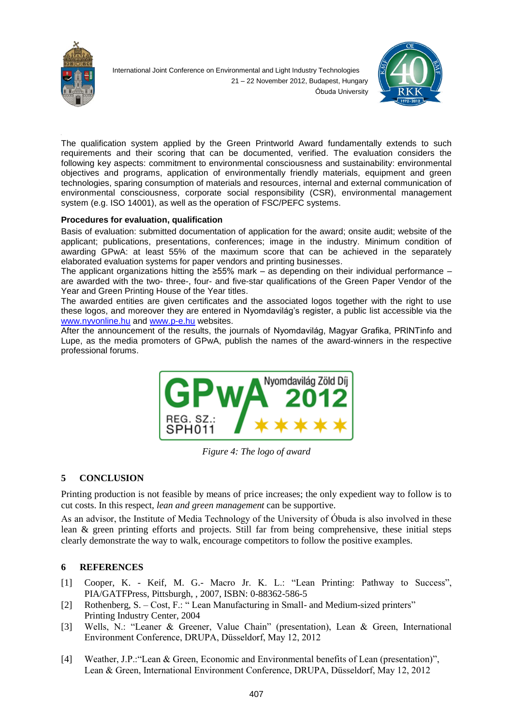



The qualification system applied by the Green Printworld Award fundamentally extends to such requirements and their scoring that can be documented, verified. The evaluation considers the following key aspects: commitment to environmental consciousness and sustainability: environmental objectives and programs, application of environmentally friendly materials, equipment and green technologies, sparing consumption of materials and resources, internal and external communication of environmental consciousness, corporate social responsibility (CSR), environmental management system (e.g. ISO 14001), as well as the operation of FSC/PEFC systems.

## **Procedures for evaluation, qualification**

Basis of evaluation: submitted documentation of application for the award; onsite audit; website of the applicant; publications, presentations, conferences; image in the industry. Minimum condition of awarding GPwA: at least 55% of the maximum score that can be achieved in the separately elaborated evaluation systems for paper vendors and printing businesses.

The applicant organizations hitting the ≥55% mark – as depending on their individual performance – are awarded with the two- three-, four- and five-star qualifications of the Green Paper Vendor of the Year and Green Printing House of the Year titles.

The awarded entities are given certificates and the associated logos together with the right to use these logos, and moreover they are entered in Nyomdavilág's register, a public list accessible via the [www.nyvonline.hu](http://www.nyvonline.hu/) and [www.p-e.hu](http://www.p-e.hu/) websites.

After the announcement of the results, the journals of Nyomdavilág, Magyar Grafika, PRINTinfo and Lupe, as the media promoters of GPwA, publish the names of the award-winners in the respective professional forums.



*Figure 4: The logo of award*

## **5 CONCLUSION**

Printing production is not feasible by means of price increases; the only expedient way to follow is to cut costs. In this respect, *lean and green management* can be supportive.

As an advisor, the Institute of Media Technology of the University of Óbuda is also involved in these lean & green printing efforts and projects. Still far from being comprehensive, these initial steps clearly demonstrate the way to walk, encourage competitors to follow the positive examples.

#### **6 REFERENCES**

- [1] Cooper, K. Keif, M. G.- Macro Jr. K. L.: "Lean Printing: Pathway to Success", PIA/GATFPress, Pittsburgh, , 2007, ISBN: 0-88362-586-5
- [2] Rothenberg, S. Cost, F.: "Lean Manufacturing in Small- and Medium-sized printers" Printing Industry Center, 2004
- [3] Wells, N.: "Leaner & Greener, Value Chain" (presentation), Lean & Green, International Environment Conference, DRUPA, Düsseldorf, May 12, 2012
- [4] Weather, J.P.:"Lean & Green, Economic and Environmental benefits of Lean (presentation)", Lean & Green, International Environment Conference, DRUPA, Düsseldorf, May 12, 2012